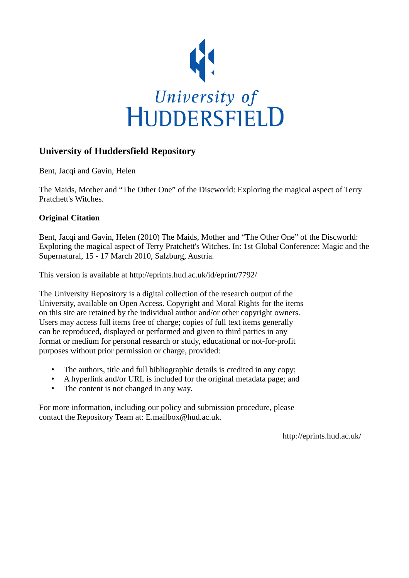

# **University of Huddersfield Repository**

Bent, Jacqi and Gavin, Helen

The Maids, Mother and "The Other One" of the Discworld: Exploring the magical aspect of Terry Pratchett's Witches.

## **Original Citation**

Bent, Jacqi and Gavin, Helen (2010) The Maids, Mother and "The Other One" of the Discworld: Exploring the magical aspect of Terry Pratchett's Witches. In: 1st Global Conference: Magic and the Supernatural, 15 - 17 March 2010, Salzburg, Austria.

This version is available at http://eprints.hud.ac.uk/id/eprint/7792/

The University Repository is a digital collection of the research output of the University, available on Open Access. Copyright and Moral Rights for the items on this site are retained by the individual author and/or other copyright owners. Users may access full items free of charge; copies of full text items generally can be reproduced, displayed or performed and given to third parties in any format or medium for personal research or study, educational or not-for-profit purposes without prior permission or charge, provided:

- The authors, title and full bibliographic details is credited in any copy;
- A hyperlink and/or URL is included for the original metadata page; and
- The content is not changed in any way.

For more information, including our policy and submission procedure, please contact the Repository Team at: E.mailbox@hud.ac.uk.

http://eprints.hud.ac.uk/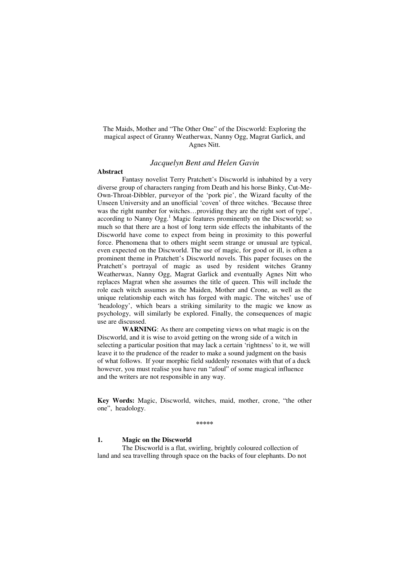The Maids, Mother and "The Other One" of the Discworld: Exploring the magical aspect of Granny Weatherwax, Nanny Ogg, Magrat Garlick, and Agnes Nitt.

#### *Jacquelyn Bent and Helen Gavin*

#### **Abstract**

Fantasy novelist Terry Pratchett's Discworld is inhabited by a very diverse group of characters ranging from Death and his horse Binky, Cut-Me-Own-Throat-Dibbler, purveyor of the 'pork pie', the Wizard faculty of the Unseen University and an unofficial 'coven' of three witches. 'Because three was the right number for witches…providing they are the right sort of type', according to Nanny Ogg.<sup>1</sup> Magic features prominently on the Discworld; so much so that there are a host of long term side effects the inhabitants of the Discworld have come to expect from being in proximity to this powerful force. Phenomena that to others might seem strange or unusual are typical, even expected on the Discworld. The use of magic, for good or ill, is often a prominent theme in Pratchett's Discworld novels. This paper focuses on the Pratchett's portrayal of magic as used by resident witches Granny Weatherwax, Nanny Ogg, Magrat Garlick and eventually Agnes Nitt who replaces Magrat when she assumes the title of queen. This will include the role each witch assumes as the Maiden, Mother and Crone, as well as the unique relationship each witch has forged with magic. The witches' use of 'headology', which bears a striking similarity to the magic we know as psychology, will similarly be explored. Finally, the consequences of magic use are discussed.

**WARNING**: As there are competing views on what magic is on the Discworld, and it is wise to avoid getting on the wrong side of a witch in selecting a particular position that may lack a certain 'rightness' to it, we will leave it to the prudence of the reader to make a sound judgment on the basis of what follows. If your morphic field suddenly resonates with that of a duck however, you must realise you have run "afoul" of some magical influence and the writers are not responsible in any way.

**Key Words:** Magic, Discworld, witches, maid, mother, crone, "the other one", headology.

**\*\*\*\*\*** 

## **1. Magic on the Discworld**

The Discworld is a flat, swirling, brightly coloured collection of land and sea travelling through space on the backs of four elephants. Do not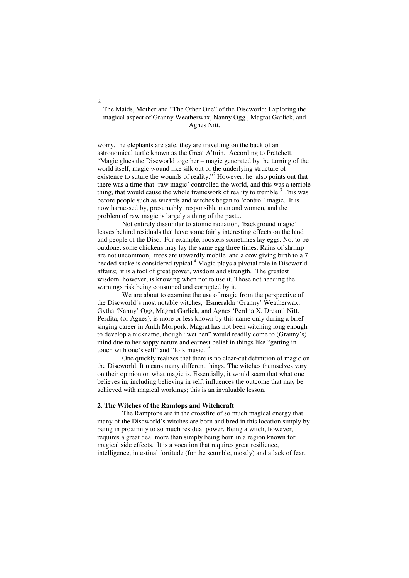## The Maids, Mother and "The Other One" of the Discworld: Exploring the magical aspect of Granny Weatherwax, Nanny Ogg , Magrat Garlick, and Agnes Nitt.

\_\_\_\_\_\_\_\_\_\_\_\_\_\_\_\_\_\_\_\_\_\_\_\_\_\_\_\_\_\_\_\_\_\_\_\_\_\_\_\_\_\_\_\_\_\_\_\_\_\_\_\_\_\_\_\_\_\_\_\_\_\_

worry, the elephants are safe, they are travelling on the back of an astronomical turtle known as the Great A'tuin. According to Pratchett, "Magic glues the Discworld together – magic generated by the turning of the world itself, magic wound like silk out of the underlying structure of existence to suture the wounds of reality."<sup>2</sup> However, he also points out that there was a time that 'raw magic' controlled the world, and this was a terrible thing, that would cause the whole framework of reality to tremble.<sup>3</sup> This was before people such as wizards and witches began to 'control' magic. It is now harnessed by, presumably, responsible men and women, and the problem of raw magic is largely a thing of the past...

 Not entirely dissimilar to atomic radiation, 'background magic' leaves behind residuals that have some fairly interesting effects on the land and people of the Disc. For example, roosters sometimes lay eggs. Not to be outdone, some chickens may lay the same egg three times. Rains of shrimp are not uncommon, trees are upwardly mobile and a cow giving birth to a 7 headed snake is considered typical.<sup>4</sup> Magic plays a pivotal role in Discworld affairs; it is a tool of great power, wisdom and strength. The greatest wisdom, however, is knowing when not to use it. Those not heeding the warnings risk being consumed and corrupted by it.

We are about to examine the use of magic from the perspective of the Discworld's most notable witches, Esmeralda 'Granny' Weatherwax, Gytha 'Nanny' Ogg, Magrat Garlick, and Agnes 'Perdita X. Dream' Nitt. Perdita, (or Agnes), is more or less known by this name only during a brief singing career in Ankh Morpork. Magrat has not been witching long enough to develop a nickname, though "wet hen" would readily come to (Granny's) mind due to her soppy nature and earnest belief in things like "getting in touch with one's self" and "folk music."<sup>5</sup>

One quickly realizes that there is no clear-cut definition of magic on the Discworld. It means many different things. The witches themselves vary on their opinion on what magic is. Essentially, it would seem that what one believes in, including believing in self, influences the outcome that may be achieved with magical workings; this is an invaluable lesson.

#### **2. The Witches of the Ramtops and Witchcraft**

The Ramptops are in the crossfire of so much magical energy that many of the Discworld's witches are born and bred in this location simply by being in proximity to so much residual power. Being a witch, however, requires a great deal more than simply being born in a region known for magical side effects. It is a vocation that requires great resilience, intelligence, intestinal fortitude (for the scumble, mostly) and a lack of fear.

 $\overline{2}$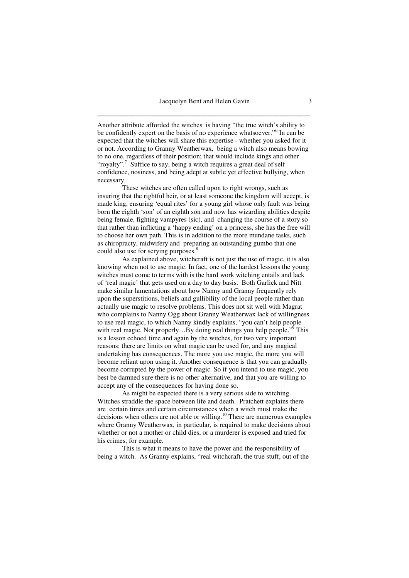Another attribute afforded the witches is having "the true witch's ability to be confidently expert on the basis of no experience whatsoever."<sup>6</sup> In can be expected that the witches will share this expertise - whether you asked for it or not. According to Granny Weatherwax, being a witch also means bowing to no one, regardless of their position; that would include kings and other "royalty".<sup>7</sup> Suffice to say, being a witch requires a great deal of self confidence, nosiness, and being adept at subtle yet effective bullying, when necessary.

These witches are often called upon to right wrongs, such as insuring that the rightful heir, or at least someone the kingdom will accept, is made king, ensuring 'equal rites' for a young girl whose only fault was being born the eighth 'son' of an eighth son and now has wizarding abilities despite being female, fighting vampyres (sic), and changing the course of a story so that rather than inflicting a 'happy ending' on a princess, she has the free will to choose her own path. This is in addition to the more mundane tasks, such as chiropracty, midwifery and preparing an outstanding gumbo that one could also use for scrying purposes.<sup>8</sup>

As explained above, witchcraft is not just the use of magic, it is also knowing when not to use magic. In fact, one of the hardest lessons the young witches must come to terms with is the hard work witching entails and lack of 'real magic' that gets used on a day to day basis. Both Garlick and Nitt make similar lamentations about how Nanny and Granny frequently rely upon the superstitions, beliefs and gullibility of the local people rather than actually use magic to resolve problems. This does not sit well with Magrat who complains to Nanny Ogg about Granny Weatherwax lack of willingness to use real magic, to which Nanny kindly explains, "you can't help people with real magic. Not properly...By doing real things you help people."<sup>9</sup> This is a lesson echoed time and again by the witches, for two very important reasons: there are limits on what magic can be used for, and any magical undertaking has consequences. The more you use magic, the more you will become reliant upon using it. Another consequence is that you can gradually become corrupted by the power of magic. So if you intend to use magic, you best be damned sure there is no other alternative, and that you are willing to accept any of the consequences for having done so.

As might be expected there is a very serious side to witching. Witches straddle the space between life and death. Pratchett explains there are certain times and certain circumstances when a witch must make the decisions when others are not able or willing.<sup>10</sup> There are numerous examples where Granny Weatherwax, in particular, is required to make decisions about whether or not a mother or child dies, or a murderer is exposed and tried for his crimes, for example.

This is what it means to have the power and the responsibility of being a witch. As Granny explains, "real witchcraft, the true stuff, out of the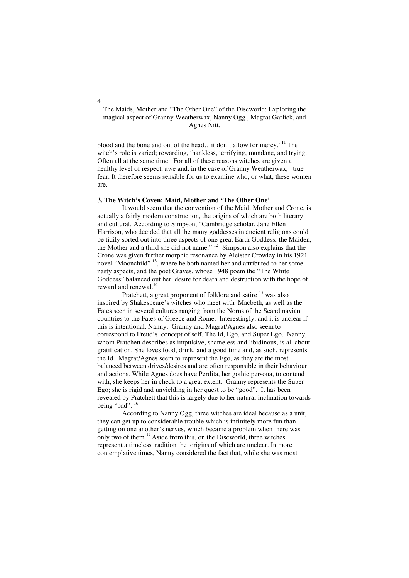## The Maids, Mother and "The Other One" of the Discworld: Exploring the magical aspect of Granny Weatherwax, Nanny Ogg , Magrat Garlick, and Agnes Nitt.

\_\_\_\_\_\_\_\_\_\_\_\_\_\_\_\_\_\_\_\_\_\_\_\_\_\_\_\_\_\_\_\_\_\_\_\_\_\_\_\_\_\_\_\_\_\_\_\_\_\_\_\_\_\_\_\_\_\_\_\_\_\_

blood and the bone and out of the head...it don't allow for mercy."<sup>11</sup> The witch's role is varied; rewarding, thankless, terrifying, mundane, and trying. Often all at the same time. For all of these reasons witches are given a healthy level of respect, awe and, in the case of Granny Weatherwax, true fear. It therefore seems sensible for us to examine who, or what, these women are.

#### **3. The Witch's Coven: Maid, Mother and 'The Other One'**

It would seem that the convention of the Maid, Mother and Crone, is actually a fairly modern construction, the origins of which are both literary and cultural. According to Simpson, "Cambridge scholar, Jane Ellen Harrison, who decided that all the many goddesses in ancient religions could be tidily sorted out into three aspects of one great Earth Goddess: the Maiden, the Mother and a third she did not name."  $12$  Simpson also explains that the Crone was given further morphic resonance by Aleister Crowley in his 1921 novel "Moonchild" <sup>13</sup>, where he both named her and attributed to her some nasty aspects, and the poet Graves, whose 1948 poem the "The White Goddess" balanced out her desire for death and destruction with the hope of reward and renewal.<sup>14</sup>

Pratchett, a great proponent of folklore and satire <sup>15</sup> was also inspired by Shakespeare's witches who meet with Macbeth, as well as the Fates seen in several cultures ranging from the Norns of the Scandinavian countries to the Fates of Greece and Rome. Interestingly, and it is unclear if this is intentional, Nanny, Granny and Magrat/Agnes also seem to correspond to Freud's concept of self. The Id, Ego, and Super Ego. Nanny, whom Pratchett describes as impulsive, shameless and libidinous, is all about gratification. She loves food, drink, and a good time and, as such, represents the Id. Magrat/Agnes seem to represent the Ego, as they are the most balanced between drives/desires and are often responsible in their behaviour and actions. While Agnes does have Perdita, her gothic persona, to contend with, she keeps her in check to a great extent. Granny represents the Super Ego; she is rigid and unyielding in her quest to be "good". It has been revealed by Pratchett that this is largely due to her natural inclination towards being "bad".<sup>16</sup>

According to Nanny Ogg, three witches are ideal because as a unit, they can get up to considerable trouble which is infinitely more fun than getting on one another's nerves, which became a problem when there was only two of them.<sup>17</sup>Aside from this, on the Discworld, three witches represent a timeless tradition the origins of which are unclear. In more contemplative times, Nanny considered the fact that, while she was most

 $\overline{A}$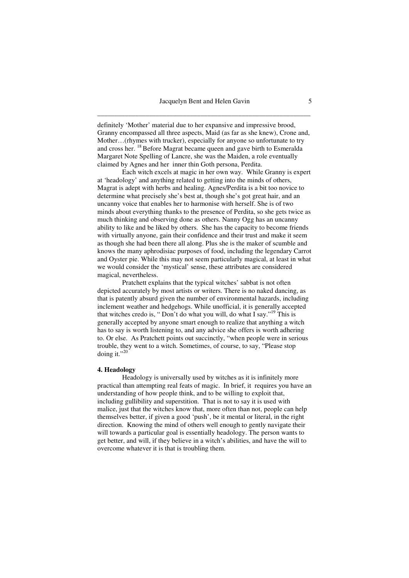definitely 'Mother' material due to her expansive and impressive brood, Granny encompassed all three aspects, Maid (as far as she knew), Crone and, Mother…(rhymes with trucker), especially for anyone so unfortunate to try and cross her. <sup>18</sup> Before Magrat became queen and gave birth to Esmeralda Margaret Note Spelling of Lancre, she was the Maiden, a role eventually claimed by Agnes and her inner thin Goth persona, Perdita.

 Each witch excels at magic in her own way. While Granny is expert at 'headology' and anything related to getting into the minds of others, Magrat is adept with herbs and healing. Agnes/Perdita is a bit too novice to determine what precisely she's best at, though she's got great hair, and an uncanny voice that enables her to harmonise with herself. She is of two minds about everything thanks to the presence of Perdita, so she gets twice as much thinking and observing done as others. Nanny Ogg has an uncanny ability to like and be liked by others. She has the capacity to become friends with virtually anyone, gain their confidence and their trust and make it seem as though she had been there all along. Plus she is the maker of scumble and knows the many aphrodisiac purposes of food, including the legendary Carrot and Oyster pie. While this may not seem particularly magical, at least in what we would consider the 'mystical' sense, these attributes are considered magical, nevertheless.

Pratchett explains that the typical witches' sabbat is not often depicted accurately by most artists or writers. There is no naked dancing, as that is patently absurd given the number of environmental hazards, including inclement weather and hedgehogs. While unofficial, it is generally accepted that witches credo is, "Don't do what you will, do what I say."<sup>19</sup> This is generally accepted by anyone smart enough to realize that anything a witch has to say is worth listening to, and any advice she offers is worth adhering to. Or else. As Pratchett points out succinctly, "when people were in serious trouble, they went to a witch. Sometimes, of course, to say, "Please stop doing it."20

#### **4. Headology**

Headology is universally used by witches as it is infinitely more practical than attempting real feats of magic. In brief, it requires you have an understanding of how people think, and to be willing to exploit that, including gullibility and superstition. That is not to say it is used with malice, just that the witches know that, more often than not, people can help themselves better, if given a good 'push', be it mental or literal, in the right direction. Knowing the mind of others well enough to gently navigate their will towards a particular goal is essentially headology. The person wants to get better, and will, if they believe in a witch's abilities, and have the will to overcome whatever it is that is troubling them.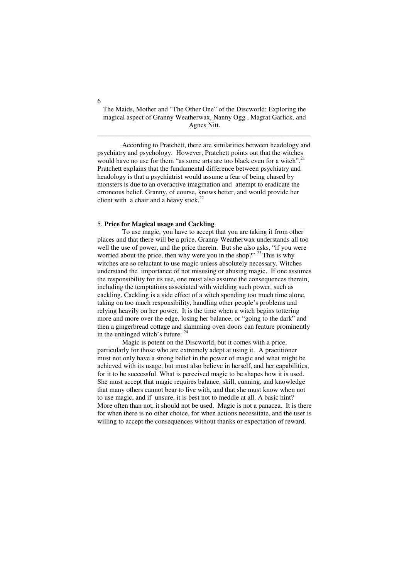## The Maids, Mother and "The Other One" of the Discworld: Exploring the magical aspect of Granny Weatherwax, Nanny Ogg , Magrat Garlick, and Agnes Nitt.

\_\_\_\_\_\_\_\_\_\_\_\_\_\_\_\_\_\_\_\_\_\_\_\_\_\_\_\_\_\_\_\_\_\_\_\_\_\_\_\_\_\_\_\_\_\_\_\_\_\_\_\_\_\_\_\_\_\_\_\_\_\_

According to Pratchett, there are similarities between headology and psychiatry and psychology. However, Pratchett points out that the witches would have no use for them "as some arts are too black even for a witch".<sup>21</sup> Pratchett explains that the fundamental difference between psychiatry and headology is that a psychiatrist would assume a fear of being chased by monsters is due to an overactive imagination and attempt to eradicate the erroneous belief. Granny, of course, knows better, and would provide her client with a chair and a heavy stick.<sup>22</sup>

#### 5. **Price for Magical usage and Cackling**

To use magic, you have to accept that you are taking it from other places and that there will be a price. Granny Weatherwax understands all too well the use of power, and the price therein. But she also asks, "if you were worried about the price, then why were you in the shop?"  $^{23}$  This is why witches are so reluctant to use magic unless absolutely necessary. Witches understand the importance of not misusing or abusing magic. If one assumes the responsibility for its use, one must also assume the consequences therein, including the temptations associated with wielding such power, such as cackling. Cackling is a side effect of a witch spending too much time alone, taking on too much responsibility, handling other people's problems and relying heavily on her power. It is the time when a witch begins tottering more and more over the edge, losing her balance, or "going to the dark" and then a gingerbread cottage and slamming oven doors can feature prominently in the unhinged witch's future. <sup>24</sup>

Magic is potent on the Discworld, but it comes with a price, particularly for those who are extremely adept at using it. A practitioner must not only have a strong belief in the power of magic and what might be achieved with its usage, but must also believe in herself, and her capabilities, for it to be successful. What is perceived magic to be shapes how it is used. She must accept that magic requires balance, skill, cunning, and knowledge that many others cannot bear to live with, and that she must know when not to use magic, and if unsure, it is best not to meddle at all. A basic hint? More often than not, it should not be used. Magic is not a panacea. It is there for when there is no other choice, for when actions necessitate, and the user is willing to accept the consequences without thanks or expectation of reward.

6